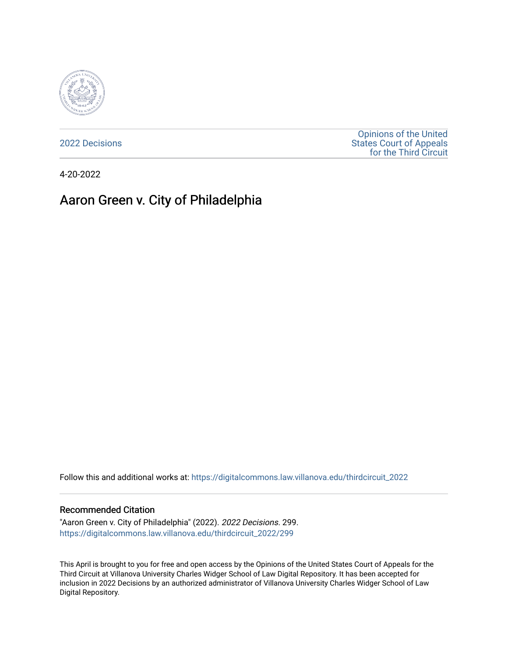

[2022 Decisions](https://digitalcommons.law.villanova.edu/thirdcircuit_2022)

[Opinions of the United](https://digitalcommons.law.villanova.edu/thirdcircuit)  [States Court of Appeals](https://digitalcommons.law.villanova.edu/thirdcircuit)  [for the Third Circuit](https://digitalcommons.law.villanova.edu/thirdcircuit) 

4-20-2022

# Aaron Green v. City of Philadelphia

Follow this and additional works at: [https://digitalcommons.law.villanova.edu/thirdcircuit\\_2022](https://digitalcommons.law.villanova.edu/thirdcircuit_2022?utm_source=digitalcommons.law.villanova.edu%2Fthirdcircuit_2022%2F299&utm_medium=PDF&utm_campaign=PDFCoverPages) 

#### Recommended Citation

"Aaron Green v. City of Philadelphia" (2022). 2022 Decisions. 299. [https://digitalcommons.law.villanova.edu/thirdcircuit\\_2022/299](https://digitalcommons.law.villanova.edu/thirdcircuit_2022/299?utm_source=digitalcommons.law.villanova.edu%2Fthirdcircuit_2022%2F299&utm_medium=PDF&utm_campaign=PDFCoverPages)

This April is brought to you for free and open access by the Opinions of the United States Court of Appeals for the Third Circuit at Villanova University Charles Widger School of Law Digital Repository. It has been accepted for inclusion in 2022 Decisions by an authorized administrator of Villanova University Charles Widger School of Law Digital Repository.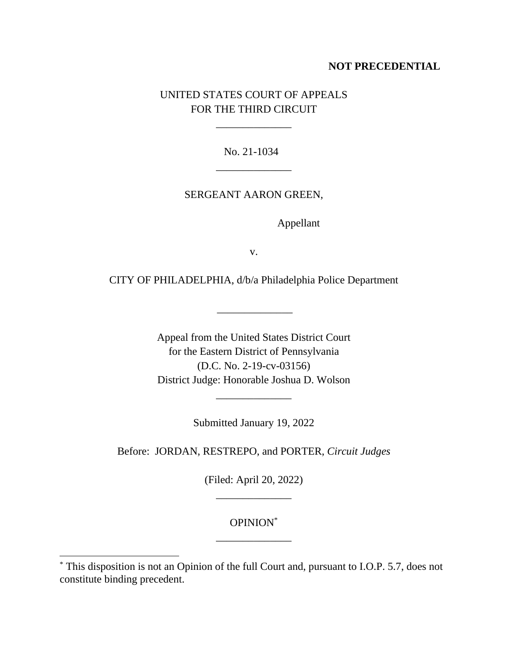# **NOT PRECEDENTIAL**

# UNITED STATES COURT OF APPEALS FOR THE THIRD CIRCUIT

\_\_\_\_\_\_\_\_\_\_\_\_\_\_

No. 21-1034 \_\_\_\_\_\_\_\_\_\_\_\_\_\_

### SERGEANT AARON GREEN,

Appellant

v.

CITY OF PHILADELPHIA, d/b/a Philadelphia Police Department

 $\overline{\phantom{a}}$ 

Appeal from the United States District Court for the Eastern District of Pennsylvania (D.C. No. 2-19-cv-03156) District Judge: Honorable Joshua D. Wolson

Submitted January 19, 2022

\_\_\_\_\_\_\_\_\_\_\_\_\_\_

Before: JORDAN, RESTREPO, and PORTER, *Circuit Judges*

(Filed: April 20, 2022) \_\_\_\_\_\_\_\_\_\_\_\_\_\_

# OPINION\* \_\_\_\_\_\_\_\_\_\_\_\_\_\_

<sup>\*</sup> This disposition is not an Opinion of the full Court and, pursuant to I.O.P. 5.7, does not constitute binding precedent.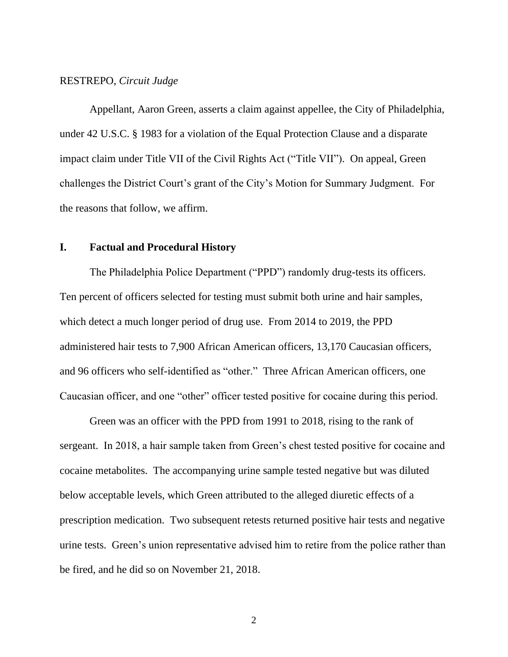#### RESTREPO, *Circuit Judge*

Appellant, Aaron Green, asserts a claim against appellee, the City of Philadelphia, under 42 U.S.C. § 1983 for a violation of the Equal Protection Clause and a disparate impact claim under Title VII of the Civil Rights Act ("Title VII"). On appeal, Green challenges the District Court's grant of the City's Motion for Summary Judgment. For the reasons that follow, we affirm.

# **I. Factual and Procedural History**

The Philadelphia Police Department ("PPD") randomly drug-tests its officers. Ten percent of officers selected for testing must submit both urine and hair samples, which detect a much longer period of drug use. From 2014 to 2019, the PPD administered hair tests to 7,900 African American officers, 13,170 Caucasian officers, and 96 officers who self-identified as "other." Three African American officers, one Caucasian officer, and one "other" officer tested positive for cocaine during this period.

Green was an officer with the PPD from 1991 to 2018, rising to the rank of sergeant. In 2018, a hair sample taken from Green's chest tested positive for cocaine and cocaine metabolites. The accompanying urine sample tested negative but was diluted below acceptable levels, which Green attributed to the alleged diuretic effects of a prescription medication. Two subsequent retests returned positive hair tests and negative urine tests. Green's union representative advised him to retire from the police rather than be fired, and he did so on November 21, 2018.

2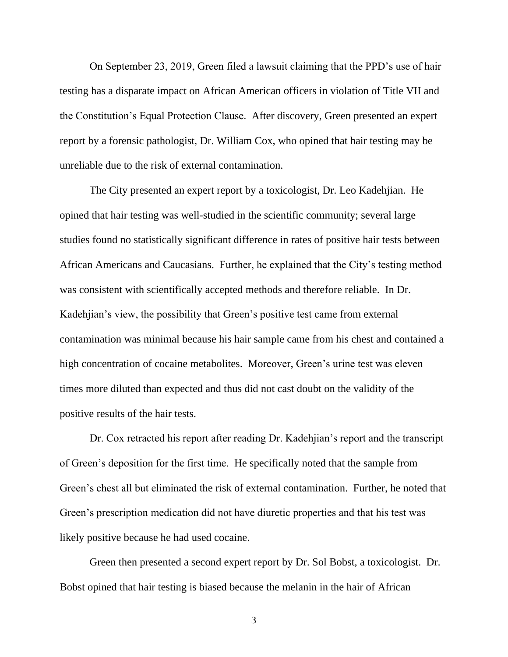On September 23, 2019, Green filed a lawsuit claiming that the PPD's use of hair testing has a disparate impact on African American officers in violation of Title VII and the Constitution's Equal Protection Clause. After discovery, Green presented an expert report by a forensic pathologist, Dr. William Cox, who opined that hair testing may be unreliable due to the risk of external contamination.

The City presented an expert report by a toxicologist, Dr. Leo Kadehjian. He opined that hair testing was well-studied in the scientific community; several large studies found no statistically significant difference in rates of positive hair tests between African Americans and Caucasians. Further, he explained that the City's testing method was consistent with scientifically accepted methods and therefore reliable. In Dr. Kadehjian's view, the possibility that Green's positive test came from external contamination was minimal because his hair sample came from his chest and contained a high concentration of cocaine metabolites. Moreover, Green's urine test was eleven times more diluted than expected and thus did not cast doubt on the validity of the positive results of the hair tests.

Dr. Cox retracted his report after reading Dr. Kadehjian's report and the transcript of Green's deposition for the first time. He specifically noted that the sample from Green's chest all but eliminated the risk of external contamination. Further, he noted that Green's prescription medication did not have diuretic properties and that his test was likely positive because he had used cocaine.

Green then presented a second expert report by Dr. Sol Bobst, a toxicologist. Dr. Bobst opined that hair testing is biased because the melanin in the hair of African

3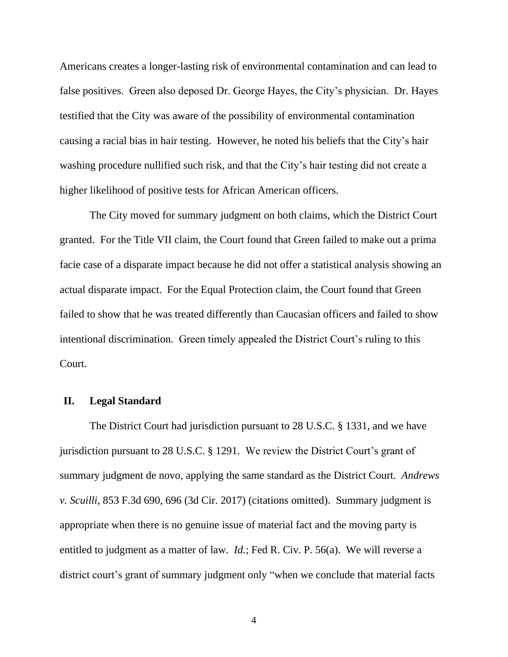Americans creates a longer-lasting risk of environmental contamination and can lead to false positives. Green also deposed Dr. George Hayes, the City's physician. Dr. Hayes testified that the City was aware of the possibility of environmental contamination causing a racial bias in hair testing. However, he noted his beliefs that the City's hair washing procedure nullified such risk, and that the City's hair testing did not create a higher likelihood of positive tests for African American officers.

The City moved for summary judgment on both claims, which the District Court granted. For the Title VII claim, the Court found that Green failed to make out a prima facie case of a disparate impact because he did not offer a statistical analysis showing an actual disparate impact. For the Equal Protection claim, the Court found that Green failed to show that he was treated differently than Caucasian officers and failed to show intentional discrimination. Green timely appealed the District Court's ruling to this Court.

# **II. Legal Standard**

The District Court had jurisdiction pursuant to 28 U.S.C. § 1331, and we have jurisdiction pursuant to 28 U.S.C. § 1291. We review the District Court's grant of summary judgment de novo, applying the same standard as the District Court. *Andrews v. Scuilli*, 853 F.3d 690, 696 (3d Cir. 2017) (citations omitted). Summary judgment is appropriate when there is no genuine issue of material fact and the moving party is entitled to judgment as a matter of law. *Id.*; Fed R. Civ. P. 56(a). We will reverse a district court's grant of summary judgment only "when we conclude that material facts

4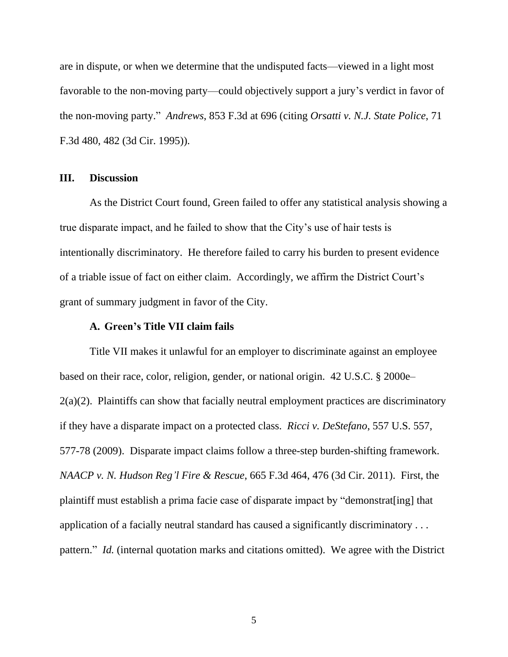are in dispute, or when we determine that the undisputed facts—viewed in a light most favorable to the non-moving party—could objectively support a jury's verdict in favor of the non-moving party." *Andrews*, 853 F.3d at 696 (citing *Orsatti v. N.J. State Police*, 71 F.3d 480, 482 (3d Cir. 1995)).

# **III. Discussion**

As the District Court found, Green failed to offer any statistical analysis showing a true disparate impact, and he failed to show that the City's use of hair tests is intentionally discriminatory. He therefore failed to carry his burden to present evidence of a triable issue of fact on either claim. Accordingly, we affirm the District Court's grant of summary judgment in favor of the City.

#### **A. Green's Title VII claim fails**

Title VII makes it unlawful for an employer to discriminate against an employee based on their race, color, religion, gender, or national origin. 42 U.S.C. § 2000e– 2(a)(2). Plaintiffs can show that facially neutral employment practices are discriminatory if they have a disparate impact on a protected class. *Ricci v. DeStefano*, 557 U.S. 557, 577-78 (2009). Disparate impact claims follow a three-step burden-shifting framework. *NAACP v. N. Hudson Reg'l Fire & Rescue*, 665 F.3d 464, 476 (3d Cir. 2011). First, the plaintiff must establish a prima facie case of disparate impact by "demonstrat[ing] that application of a facially neutral standard has caused a significantly discriminatory . . . pattern." *Id.* (internal quotation marks and citations omitted). We agree with the District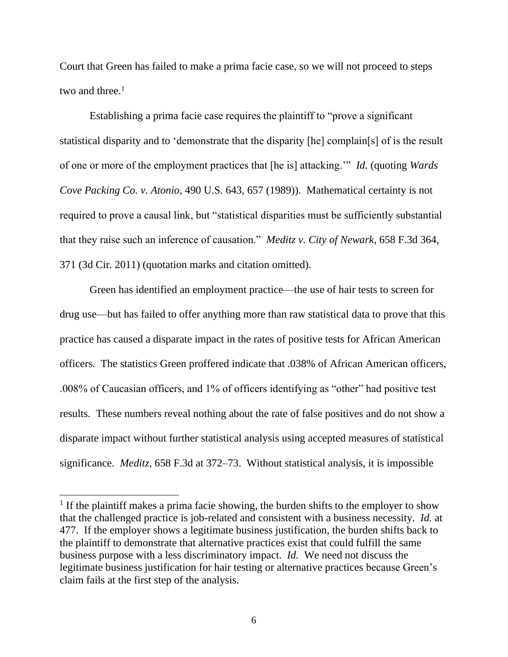Court that Green has failed to make a prima facie case, so we will not proceed to steps two and three. $<sup>1</sup>$ </sup>

Establishing a prima facie case requires the plaintiff to "prove a significant statistical disparity and to 'demonstrate that the disparity [he] complain[s] of is the result of one or more of the employment practices that [he is] attacking.'" *Id.* (quoting *Wards Cove Packing Co. v. Atonio*, 490 U.S. 643, 657 (1989)). Mathematical certainty is not required to prove a causal link, but "statistical disparities must be sufficiently substantial that they raise such an inference of causation." *Meditz v. City of Newark*, 658 F.3d 364, 371 (3d Cir. 2011) (quotation marks and citation omitted).

Green has identified an employment practice—the use of hair tests to screen for drug use—but has failed to offer anything more than raw statistical data to prove that this practice has caused a disparate impact in the rates of positive tests for African American officers. The statistics Green proffered indicate that .038% of African American officers, .008% of Caucasian officers, and 1% of officers identifying as "other" had positive test results. These numbers reveal nothing about the rate of false positives and do not show a disparate impact without further statistical analysis using accepted measures of statistical significance. *Meditz*, 658 F.3d at 372–73. Without statistical analysis, it is impossible

<sup>&</sup>lt;sup>1</sup> If the plaintiff makes a prima facie showing, the burden shifts to the employer to show that the challenged practice is job-related and consistent with a business necessity. *Id.* at 477. If the employer shows a legitimate business justification, the burden shifts back to the plaintiff to demonstrate that alternative practices exist that could fulfill the same business purpose with a less discriminatory impact. *Id.* We need not discuss the legitimate business justification for hair testing or alternative practices because Green's claim fails at the first step of the analysis.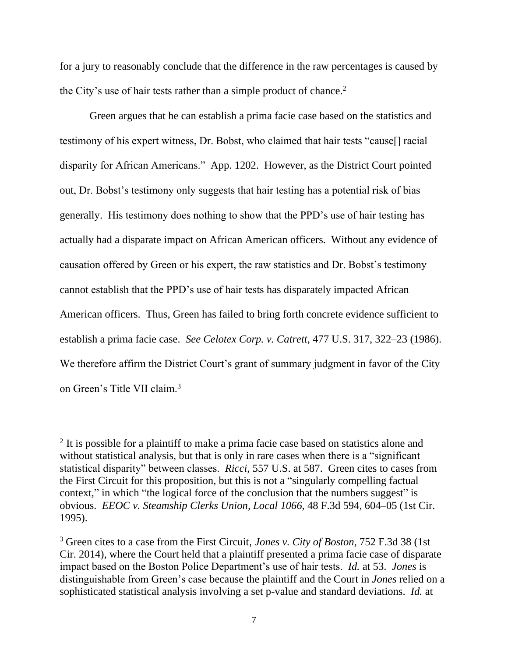for a jury to reasonably conclude that the difference in the raw percentages is caused by the City's use of hair tests rather than a simple product of chance.<sup>2</sup>

Green argues that he can establish a prima facie case based on the statistics and testimony of his expert witness, Dr. Bobst, who claimed that hair tests "cause[] racial disparity for African Americans." App. 1202. However, as the District Court pointed out, Dr. Bobst's testimony only suggests that hair testing has a potential risk of bias generally. His testimony does nothing to show that the PPD's use of hair testing has actually had a disparate impact on African American officers. Without any evidence of causation offered by Green or his expert, the raw statistics and Dr. Bobst's testimony cannot establish that the PPD's use of hair tests has disparately impacted African American officers. Thus, Green has failed to bring forth concrete evidence sufficient to establish a prima facie case. *See Celotex Corp. v. Catrett*, 477 U.S. 317, 322–23 (1986). We therefore affirm the District Court's grant of summary judgment in favor of the City on Green's Title VII claim.<sup>3</sup>

<sup>&</sup>lt;sup>2</sup> It is possible for a plaintiff to make a prima facie case based on statistics alone and without statistical analysis, but that is only in rare cases when there is a "significant" statistical disparity" between classes. *Ricci*, 557 U.S. at 587. Green cites to cases from the First Circuit for this proposition, but this is not a "singularly compelling factual context," in which "the logical force of the conclusion that the numbers suggest" is obvious. *EEOC v. Steamship Clerks Union, Local 1066*, 48 F.3d 594, 604–05 (1st Cir. 1995).

<sup>3</sup> Green cites to a case from the First Circuit, *Jones v. City of Boston*, 752 F.3d 38 (1st Cir. 2014), where the Court held that a plaintiff presented a prima facie case of disparate impact based on the Boston Police Department's use of hair tests. *Id.* at 53. *Jones* is distinguishable from Green's case because the plaintiff and the Court in *Jones* relied on a sophisticated statistical analysis involving a set p-value and standard deviations. *Id.* at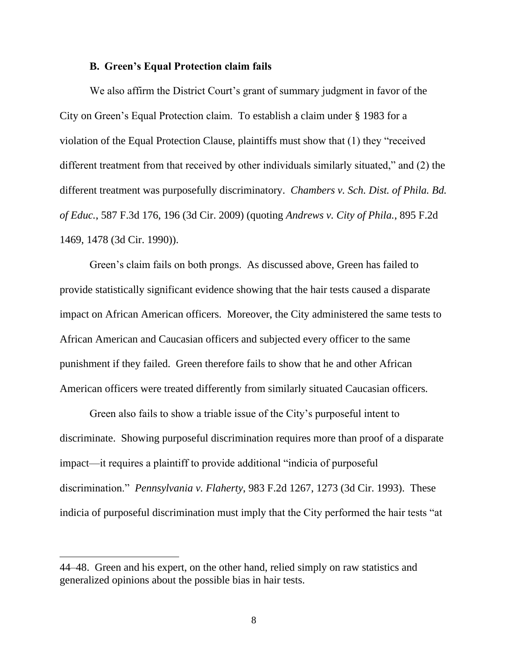#### **B. Green's Equal Protection claim fails**

We also affirm the District Court's grant of summary judgment in favor of the City on Green's Equal Protection claim. To establish a claim under § 1983 for a violation of the Equal Protection Clause, plaintiffs must show that (1) they "received different treatment from that received by other individuals similarly situated," and (2) the different treatment was purposefully discriminatory. *Chambers v. Sch. Dist. of Phila. Bd. of Educ.*, 587 F.3d 176, 196 (3d Cir. 2009) (quoting *Andrews v. City of Phila.*, 895 F.2d 1469, 1478 (3d Cir. 1990)).

Green's claim fails on both prongs. As discussed above, Green has failed to provide statistically significant evidence showing that the hair tests caused a disparate impact on African American officers. Moreover, the City administered the same tests to African American and Caucasian officers and subjected every officer to the same punishment if they failed. Green therefore fails to show that he and other African American officers were treated differently from similarly situated Caucasian officers.

Green also fails to show a triable issue of the City's purposeful intent to discriminate. Showing purposeful discrimination requires more than proof of a disparate impact—it requires a plaintiff to provide additional "indicia of purposeful discrimination." *Pennsylvania v. Flaherty*, 983 F.2d 1267, 1273 (3d Cir. 1993). These indicia of purposeful discrimination must imply that the City performed the hair tests "at

<sup>44–48.</sup> Green and his expert, on the other hand, relied simply on raw statistics and generalized opinions about the possible bias in hair tests.